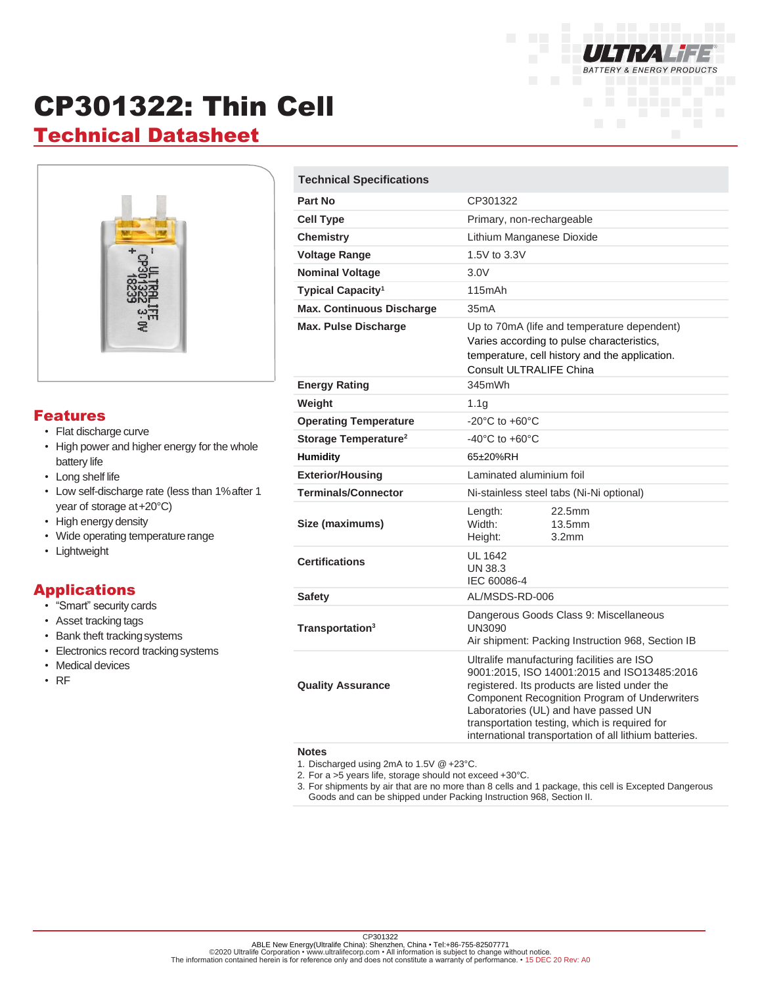

# CP301322: Thin Cell

## **Technical Datasheet**



#### Features

- Flat discharge curve
- High power and higher energy for the whole battery life
- Long shelf life
- Low self-discharge rate (less than 1%after 1 year of storage at+20°C)
- High energy density
- Wide operating temperature range
- Lightweight

#### Applications

- "Smart" security cards
- Asset tracking tags
- Bank theft trackingsystems
- Electronics record tracking systems
- Medical devices
- RF

| <b>Technical Specifications</b>  |                                                                                                                                                                                                                                                                                                                                                |                                       |
|----------------------------------|------------------------------------------------------------------------------------------------------------------------------------------------------------------------------------------------------------------------------------------------------------------------------------------------------------------------------------------------|---------------------------------------|
| Part No                          | CP301322                                                                                                                                                                                                                                                                                                                                       |                                       |
| <b>Cell Type</b>                 | Primary, non-rechargeable                                                                                                                                                                                                                                                                                                                      |                                       |
| <b>Chemistry</b>                 | Lithium Manganese Dioxide                                                                                                                                                                                                                                                                                                                      |                                       |
| <b>Voltage Range</b>             | 1.5V to 3.3V                                                                                                                                                                                                                                                                                                                                   |                                       |
| <b>Nominal Voltage</b>           | 3.0V                                                                                                                                                                                                                                                                                                                                           |                                       |
| Typical Capacity <sup>1</sup>    | 115mAh                                                                                                                                                                                                                                                                                                                                         |                                       |
| <b>Max. Continuous Discharge</b> | 35mA                                                                                                                                                                                                                                                                                                                                           |                                       |
| <b>Max. Pulse Discharge</b>      | Up to 70mA (life and temperature dependent)<br>Varies according to pulse characteristics,<br>temperature, cell history and the application.<br>Consult ULTRALIFE China                                                                                                                                                                         |                                       |
| <b>Energy Rating</b>             | 345mWh                                                                                                                                                                                                                                                                                                                                         |                                       |
| Weight                           | 1.1 <sub>q</sub>                                                                                                                                                                                                                                                                                                                               |                                       |
| <b>Operating Temperature</b>     | $-20^{\circ}$ C to $+60^{\circ}$ C                                                                                                                                                                                                                                                                                                             |                                       |
| Storage Temperature <sup>2</sup> | $-40^{\circ}$ C to $+60^{\circ}$ C                                                                                                                                                                                                                                                                                                             |                                       |
| <b>Humidity</b>                  | 65±20%RH                                                                                                                                                                                                                                                                                                                                       |                                       |
| <b>Exterior/Housing</b>          | Laminated aluminium foil                                                                                                                                                                                                                                                                                                                       |                                       |
| <b>Terminals/Connector</b>       | Ni-stainless steel tabs (Ni-Ni optional)                                                                                                                                                                                                                                                                                                       |                                       |
| Size (maximums)                  | Length:<br>Width:<br>Height:                                                                                                                                                                                                                                                                                                                   | 22.5mm<br>13.5mm<br>3.2 <sub>mm</sub> |
| <b>Certifications</b>            | UL 1642<br>UN 38.3<br>IEC 60086-4                                                                                                                                                                                                                                                                                                              |                                       |
| <b>Safety</b>                    | AL/MSDS-RD-006                                                                                                                                                                                                                                                                                                                                 |                                       |
| Transportation <sup>3</sup>      | Dangerous Goods Class 9: Miscellaneous<br>UN3090<br>Air shipment: Packing Instruction 968, Section IB                                                                                                                                                                                                                                          |                                       |
| <b>Quality Assurance</b>         | Ultralife manufacturing facilities are ISO<br>9001:2015, ISO 14001:2015 and ISO13485:2016<br>registered. Its products are listed under the<br>Component Recognition Program of Underwriters<br>Laboratories (UL) and have passed UN<br>transportation testing, which is required for<br>international transportation of all lithium batteries. |                                       |

#### **Notes**

1. Discharged using 2mA to 1.5V @ +23°C.

2. For a >5 years life, storage should not exceed +30°C.

3. For shipments by air that are no more than 8 cells and 1 package, this cell is Excepted Dangerous Goods and can be shipped under Packing Instruction 968, Section II.